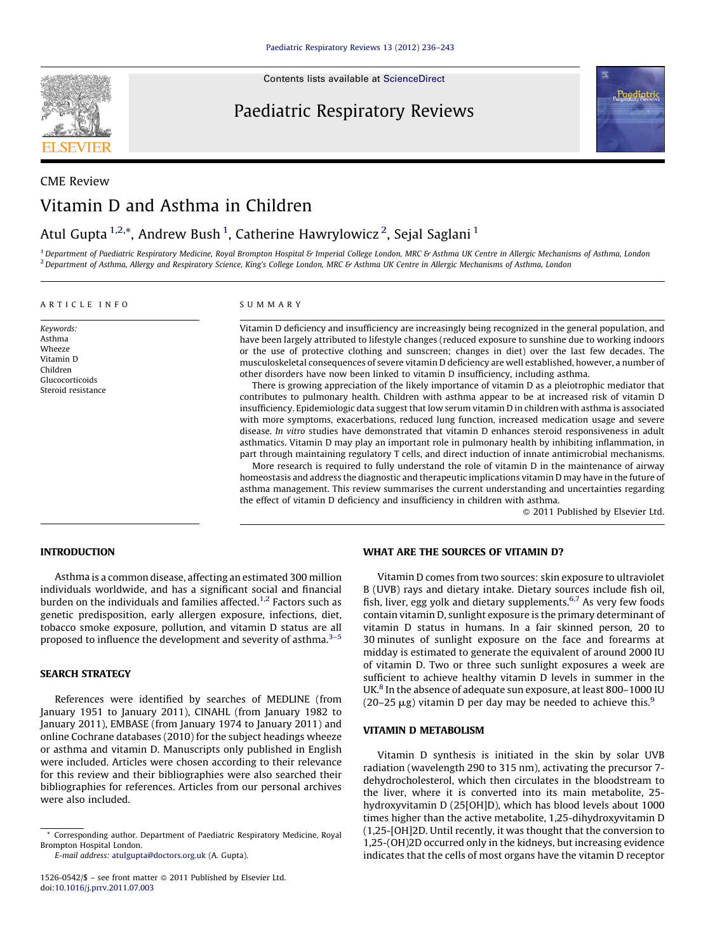**SEVIER** 

Contents lists available at [ScienceDirect](http://www.sciencedirect.com/science/journal/15260542)

# Paediatric Respiratory Reviews



# CME Review Vitamin D and Asthma in Children

## Atul Gupta <sup>1,2,</sup>\*, Andrew Bush <sup>1</sup>, Catherine Hawrylowicz <sup>2</sup>, Sejal Saglani <sup>1</sup>

<sup>1</sup> Department of Paediatric Respiratory Medicine, Royal Brompton Hospital & Imperial College London, MRC & Asthma UK Centre in Allergic Mechanisms of Asthma, London <sup>2</sup> Department of Asthma, Allergy and Respiratory Science, King's College London, MRC & Asthma UK Centre in Allergic Mechanisms of Asthma, London

#### A R T I C L E I N F O

Keywords: Asthma Wheeze Vitamin D Children Glucocorticoids Steroid resistance

## S U M M A R Y

Vitamin D deficiency and insufficiency are increasingly being recognized in the general population, and have been largely attributed to lifestyle changes (reduced exposure to sunshine due to working indoors or the use of protective clothing and sunscreen; changes in diet) over the last few decades. The musculoskeletal consequences of severe vitamin D deficiency are well established, however, a number of other disorders have now been linked to vitamin D insufficiency, including asthma.

There is growing appreciation of the likely importance of vitamin D as a pleiotrophic mediator that contributes to pulmonary health. Children with asthma appear to be at increased risk of vitamin D insufficiency. Epidemiologic data suggest that low serum vitamin D in children with asthma is associated with more symptoms, exacerbations, reduced lung function, increased medication usage and severe disease. In vitro studies have demonstrated that vitamin D enhances steroid responsiveness in adult asthmatics. Vitamin D may play an important role in pulmonary health by inhibiting inflammation, in part through maintaining regulatory T cells, and direct induction of innate antimicrobial mechanisms.

More research is required to fully understand the role of vitamin D in the maintenance of airway homeostasis and address the diagnostic and therapeutic implications vitamin D may have in the future of asthma management. This review summarises the current understanding and uncertainties regarding the effect of vitamin D deficiency and insufficiency in children with asthma.

 $\odot$  2011 Published by Elsevier Ltd.

## INTRODUCTION

Asthma is a common disease, affecting an estimated 300 million individuals worldwide, and has a significant social and financial burden on the individuals and families affected.<sup>[1,2](#page-5-0)</sup> Factors such as genetic predisposition, early allergen exposure, infections, diet, tobacco smoke exposure, pollution, and vitamin D status are all proposed to influence the development and severity of asthma.<sup>3-5</sup>

## SEARCH STRATEGY

References were identified by searches of MEDLINE (from January 1951 to January 2011), CINAHL (from January 1982 to January 2011), EMBASE (from January 1974 to January 2011) and online Cochrane databases (2010) for the subject headings wheeze or asthma and vitamin D. Manuscripts only published in English were included. Articles were chosen according to their relevance for this review and their bibliographies were also searched their bibliographies for references. Articles from our personal archives were also included.

E-mail address: [atulgupta@doctors.org.uk](mailto:atulgupta@doctors.org.uk) (A. Gupta).

## WHAT ARE THE SOURCES OF VITAMIN D?

Vitamin D comes from two sources: skin exposure to ultraviolet B (UVB) rays and dietary intake. Dietary sources include fish oil, fish, liver, egg yolk and dietary supplements.<sup>6,7</sup> As very few foods contain vitamin D, sunlight exposure is the primary determinant of vitamin D status in humans. In a fair skinned person, 20 to 30 minutes of sunlight exposure on the face and forearms at midday is estimated to generate the equivalent of around 2000 IU of vitamin D. Two or three such sunlight exposures a week are sufficient to achieve healthy vitamin D levels in summer in the UK.<sup>[8](#page-5-0)</sup> In the absence of adequate sun exposure, at least 800–1000 IU (20–25  $\mu$ g) vitamin D per day may be needed to achieve this.<sup>[9](#page-5-0)</sup>

## VITAMIN D METABOLISM

Vitamin D synthesis is initiated in the skin by solar UVB radiation (wavelength 290 to 315 nm), activating the precursor 7 dehydrocholesterol, which then circulates in the bloodstream to the liver, where it is converted into its main metabolite, 25 hydroxyvitamin D (25[OH]D), which has blood levels about 1000 times higher than the active metabolite, 1,25-dihydroxyvitamin D (1,25-[OH]2D. Until recently, it was thought that the conversion to 1,25-(OH)2D occurred only in the kidneys, but increasing evidence indicates that the cells of most organs have the vitamin D receptor

<sup>\*</sup> Corresponding author. Department of Paediatric Respiratory Medicine, Royal Brompton Hospital London.

 $1526-0542$ /\$ - see front matter  $\odot$  2011 Published by Elsevier Ltd. doi:[10.1016/j.prrv.2011.07.003](http://dx.doi.org/10.1016/j.prrv.2011.07.003)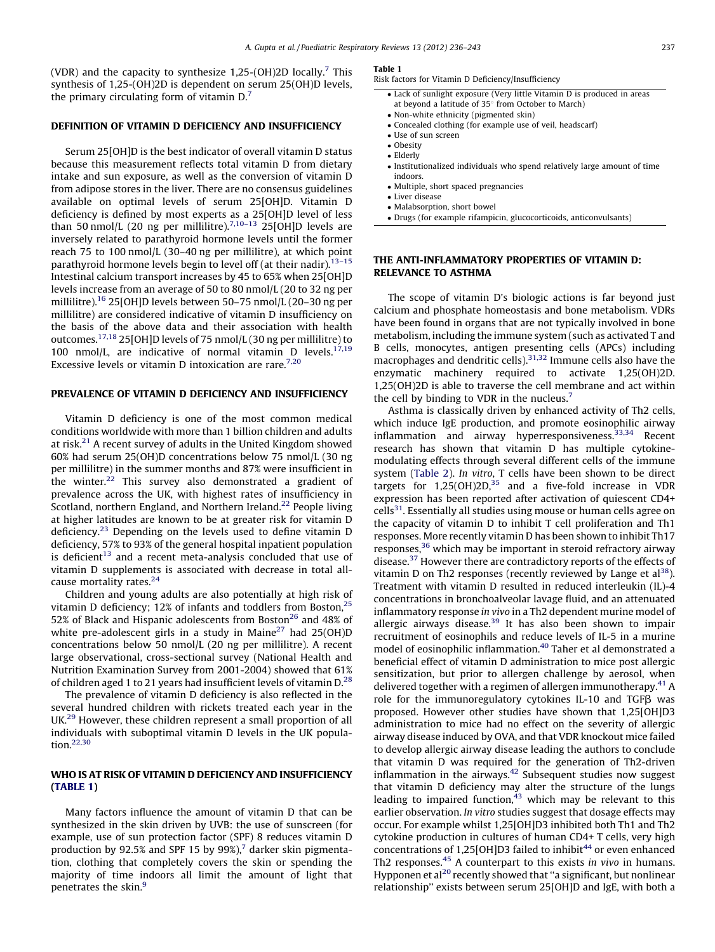(VDR) and the capacity to synthesize 1,25-(OH)2D locally.<sup>[7](#page-5-0)</sup> This synthesis of 1,25-(OH)2D is dependent on serum 25(OH)D levels, the primary circulating form of vitamin  $D<sub>1</sub><sup>7</sup>$ 

#### DEFINITION OF VITAMIN D DEFICIENCY AND INSUFFICIENCY

Serum 25[OH]D is the best indicator of overall vitamin D status because this measurement reflects total vitamin D from dietary intake and sun exposure, as well as the conversion of vitamin D from adipose stores in the liver. There are no consensus guidelines available on optimal levels of serum 25[OH]D. Vitamin D deficiency is defined by most experts as a 25[OH]D level of less than 50 nmol/L (20 ng per millilitre).<sup>7,10-13</sup> 25[OH]D levels are inversely related to parathyroid hormone levels until the former reach 75 to 100 nmol/L (30–40 ng per millilitre), at which point parathyroid hormone levels begin to level off (at their nadir).<sup>13-15</sup> Intestinal calcium transport increases by 45 to 65% when 25[OH]D levels increase from an average of 50 to 80 nmol/L (20 to 32 ng per millilitre)[.16](#page-5-0) 25[OH]D levels between 50–75 nmol/L (20–30 ng per millilitre) are considered indicative of vitamin D insufficiency on the basis of the above data and their association with health outcomes.[17,18](#page-5-0) 25[OH]D levels of 75 nmol/L (30 ng per millilitre) to 100 nmol/L, are indicative of normal vitamin D levels. $17,19$ Excessive levels or vitamin D intoxication are rare.<sup>[7,20](#page-5-0)</sup>

## PREVALENCE OF VITAMIN D DEFICIENCY AND INSUFFICIENCY

Vitamin D deficiency is one of the most common medical conditions worldwide with more than 1 billion children and adults at risk.<sup>21</sup> A recent survey of adults in the United Kingdom showed 60% had serum 25(OH)D concentrations below 75 nmol/L (30 ng per millilitre) in the summer months and 87% were insufficient in the winter.<sup>[22](#page-5-0)</sup> This survey also demonstrated a gradient of prevalence across the UK, with highest rates of insufficiency in Scotland, northern England, and Northern Ireland.<sup>22</sup> People living at higher latitudes are known to be at greater risk for vitamin D deficiency[.23](#page-5-0) Depending on the levels used to define vitamin D deficiency, 57% to 93% of the general hospital inpatient population is deficient $13$  and a recent meta-analysis concluded that use of vitamin D supplements is associated with decrease in total all-cause mortality rates.<sup>[24](#page-5-0)</sup>

Children and young adults are also potentially at high risk of vitamin D deficiency; 12% of infants and toddlers from Boston,<sup>25</sup> 52% of Black and Hispanic adolescents from Boston<sup>26</sup> and 48% of white pre-adolescent girls in a study in Maine<sup>27</sup> had  $25(OH)D$ concentrations below 50 nmol/L (20 ng per millilitre). A recent large observational, cross-sectional survey (National Health and Nutrition Examination Survey from 2001-2004) showed that 61% of children aged 1 to 21 years had insufficient levels of vitamin  $D<sup>28</sup>$  $D<sup>28</sup>$  $D<sup>28</sup>$ 

The prevalence of vitamin D deficiency is also reflected in the several hundred children with rickets treated each year in the UK.[29](#page-5-0) However, these children represent a small proportion of all individuals with suboptimal vitamin D levels in the UK population.[22,30](#page-5-0)

## WHO IS AT RISK OF VITAMIN D DEFICIENCY AND INSUFFICIENCY (TABLE 1)

Many factors influence the amount of vitamin D that can be synthesized in the skin driven by UVB: the use of sunscreen (for example, use of sun protection factor (SPF) 8 reduces vitamin D production by 92.5% and SPF 15 by 99%),<sup>7</sup> darker skin pigmentation, clothing that completely covers the skin or spending the majority of time indoors all limit the amount of light that penetrates the skin.<sup>[9](#page-5-0)</sup>

## Table 1

Risk factors for Vitamin D Deficiency/Insufficiency

- Lack of sunlight exposure (Very little Vitamin D is produced in areas at beyond a latitude of  $35^\circ$  from October to March)
- Non-white ethnicity (pigmented skin)
- Concealed clothing (for example use of veil, headscarf)
- Use of sun screen
- Obesity
- Elderly
- Institutionalized individuals who spend relatively large amount of time indoors.
- Multiple, short spaced pregnancies
- Liver disease
- Malabsorption, short bowel
- Drugs (for example rifampicin, glucocorticoids, anticonvulsants)

## THE ANTI-INFLAMMATORY PROPERTIES OF VITAMIN D: RELEVANCE TO ASTHMA

The scope of vitamin D's biologic actions is far beyond just calcium and phosphate homeostasis and bone metabolism. VDRs have been found in organs that are not typically involved in bone metabolism, including the immune system (such as activated T and B cells, monocytes, antigen presenting cells (APCs) including macrophages and dendritic cells)[.31,32](#page-5-0) Immune cells also have the enzymatic machinery required to activate 1,25(OH)2D. 1,25(OH)2D is able to traverse the cell membrane and act within the cell by binding to VDR in the nucleus.<sup>[7](#page-5-0)</sup>

Asthma is classically driven by enhanced activity of Th2 cells, which induce IgE production, and promote eosinophilic airway inflammation and airway hyperresponsiveness.<sup>[33,34](#page-5-0)</sup> Recent research has shown that vitamin D has multiple cytokinemodulating effects through several different cells of the immune system [\(Table](#page-2-0) 2). In vitro, T cells have been shown to be direct targets for  $1,25(OH)2D<sub>1</sub><sup>35</sup>$  and a five-fold increase in VDR expression has been reported after activation of quiescent CD4+  $\text{cells}^{31}$ . Essentially all studies using mouse or human cells agree on the capacity of vitamin D to inhibit T cell proliferation and Th1 responses. More recently vitamin D has been shown to inhibit Th17 responses,<sup>36</sup> which may be important in steroid refractory airway disease.<sup>37</sup> However there are contradictory reports of the effects of vitamin D on Th2 responses (recently reviewed by Lange et  $al^{38}$ ). Treatment with vitamin D resulted in reduced interleukin (IL)-4 concentrations in bronchoalveolar lavage fluid, and an attenuated inflammatory response in vivo in a Th2 dependent murine model of allergic airways disease.<sup>[39](#page-6-0)</sup> It has also been shown to impair recruitment of eosinophils and reduce levels of IL-5 in a murine model of eosinophilic inflammation[.40](#page-6-0) Taher et al demonstrated a beneficial effect of vitamin D administration to mice post allergic sensitization, but prior to allergen challenge by aerosol, when delivered together with a regimen of allergen immunotherapy.<sup>41</sup> A role for the immunoregulatory cytokines IL-10 and TGF $\beta$  was proposed. However other studies have shown that 1,25[OH]D3 administration to mice had no effect on the severity of allergic airway disease induced by OVA, and that VDR knockout mice failed to develop allergic airway disease leading the authors to conclude that vitamin D was required for the generation of Th2-driven inflammation in the airways. $42$  Subsequent studies now suggest that vitamin D deficiency may alter the structure of the lungs leading to impaired function, $43$  which may be relevant to this earlier observation. In vitro studies suggest that dosage effects may occur. For example whilst 1,25[OH]D3 inhibited both Th1 and Th2 cytokine production in cultures of human CD4+ T cells, very high concentrations of 1,25[OH]D3 failed to inhibit<sup>44</sup> or even enhanced Th2 responses.<sup>[45](#page-6-0)</sup> A counterpart to this exists in vivo in humans. Hypponen et al<sup>[20](#page-5-0)</sup> recently showed that "a significant, but nonlinear relationship'' exists between serum 25[OH]D and IgE, with both a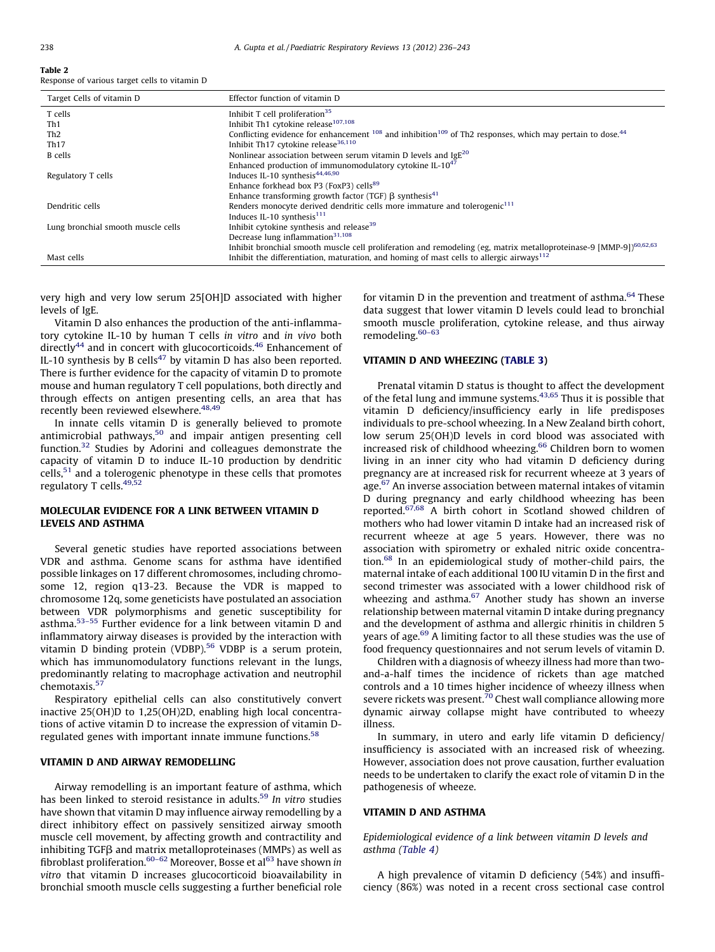## <span id="page-2-0"></span>Table 2

Response of various target cells to vitamin D

| Target Cells of vitamin D          | Effector function of vitamin D                                                                                                         |  |  |  |
|------------------------------------|----------------------------------------------------------------------------------------------------------------------------------------|--|--|--|
| T cells                            | Inhibit $T$ cell proliferation <sup>35</sup>                                                                                           |  |  |  |
| Th <sub>1</sub>                    | Inhibit Th1 cytokine release <sup>107,108</sup>                                                                                        |  |  |  |
| Th2                                | Conflicting evidence for enhancement $^{108}$ and inhibition <sup>109</sup> of Th2 responses, which may pertain to dose. <sup>44</sup> |  |  |  |
| Th17                               | Inhibit Th <sub>17</sub> cytokine release <sup>36,110</sup>                                                                            |  |  |  |
| <b>B</b> cells                     | Nonlinear association between serum vitamin D levels and $\text{IgE}^{20}$                                                             |  |  |  |
|                                    | Enhanced production of immunomodulatory cytokine IL- $10^{47}$                                                                         |  |  |  |
| Regulatory T cells                 | Induces IL-10 synthesis <sup>44,46,90</sup>                                                                                            |  |  |  |
|                                    | Enhance forkhead box P3 (FoxP3) cells <sup>89</sup>                                                                                    |  |  |  |
|                                    | Enhance transforming growth factor (TGF) $\beta$ synthesis <sup>41</sup>                                                               |  |  |  |
| Dendritic cells                    | Renders monocyte derived dendritic cells more immature and tolerogenic <sup>111</sup>                                                  |  |  |  |
|                                    | Induces IL-10 synthesis <sup>111</sup>                                                                                                 |  |  |  |
| Lung bronchial smooth muscle cells | Inhibit cytokine synthesis and release <sup>39</sup>                                                                                   |  |  |  |
|                                    | Decrease lung inflammation <sup>31,108</sup>                                                                                           |  |  |  |
|                                    | Inhibit bronchial smooth muscle cell proliferation and remodeling (eg, matrix metalloproteinase-9 [MMP-9]) <sup>60,62,63</sup>         |  |  |  |
| Mast cells                         | Inhibit the differentiation, maturation, and homing of mast cells to allergic airways <sup>112</sup>                                   |  |  |  |

very high and very low serum 25[OH]D associated with higher levels of IgE.

Vitamin D also enhances the production of the anti-inflammatory cytokine IL-10 by human T cells in vitro and in vivo both directly<sup>[44](#page-6-0)</sup> and in concert with glucocorticoids.<sup>46</sup> Enhancement of IL-10 synthesis by B cells<sup>[47](#page-6-0)</sup> by vitamin D has also been reported. There is further evidence for the capacity of vitamin D to promote mouse and human regulatory T cell populations, both directly and through effects on antigen presenting cells, an area that has recently been reviewed elsewhere.<sup>[48,49](#page-6-0)</sup>

In innate cells vitamin D is generally believed to promote antimicrobial pathways,<sup>50</sup> and impair antigen presenting cell function.[32](#page-5-0) Studies by Adorini and colleagues demonstrate the capacity of vitamin D to induce IL-10 production by dendritic  $cells<sub>1</sub><sup>51</sup>$  $cells<sub>1</sub><sup>51</sup>$  $cells<sub>1</sub><sup>51</sup>$  and a tolerogenic phenotype in these cells that promotes regulatory T cells.<sup>[49,52](#page-6-0)</sup>

## MOLECULAR EVIDENCE FOR A LINK BETWEEN VITAMIN D LEVELS AND ASTHMA

Several genetic studies have reported associations between VDR and asthma. Genome scans for asthma have identified possible linkages on 17 different chromosomes, including chromosome 12, region q13-23. Because the VDR is mapped to chromosome 12q, some geneticists have postulated an association between VDR polymorphisms and genetic susceptibility for asthma.[53–55](#page-6-0) Further evidence for a link between vitamin D and inflammatory airway diseases is provided by the interaction with vitamin D binding protein (VDBP).<sup>[56](#page-6-0)</sup> VDBP is a serum protein, which has immunomodulatory functions relevant in the lungs, predominantly relating to macrophage activation and neutrophil chemotaxis.<sup>57</sup>

Respiratory epithelial cells can also constitutively convert inactive 25(OH)D to 1,25(OH)2D, enabling high local concentrations of active vitamin D to increase the expression of vitamin D-regulated genes with important innate immune functions.<sup>[58](#page-6-0)</sup>

## VITAMIN D AND AIRWAY REMODELLING

Airway remodelling is an important feature of asthma, which has been linked to steroid resistance in adults.<sup>59</sup> In vitro studies have shown that vitamin D may influence airway remodelling by a direct inhibitory effect on passively sensitized airway smooth muscle cell movement, by affecting growth and contractility and inhibiting  $TGF\beta$  and matrix metalloproteinases (MMPs) as well as fibroblast proliferation.<sup>[60–62](#page-6-0)</sup> Moreover, Bosse et al<sup>63</sup> have shown in vitro that vitamin D increases glucocorticoid bioavailability in bronchial smooth muscle cells suggesting a further beneficial role for vitamin  $D$  in the prevention and treatment of asthma.<sup>64</sup> These data suggest that lower vitamin D levels could lead to bronchial smooth muscle proliferation, cytokine release, and thus airway remodeling.<sup>60-63</sup>

## VITAMIN D AND WHEEZING [\(TABLE](#page-3-0) 3)

Prenatal vitamin D status is thought to affect the development of the fetal lung and immune systems[.43,65](#page-6-0) Thus it is possible that vitamin D deficiency/insufficiency early in life predisposes individuals to pre-school wheezing. In a New Zealand birth cohort, low serum 25(OH)D levels in cord blood was associated with increased risk of childhood wheezing. $^{66}$  $^{66}$  $^{66}$  Children born to women living in an inner city who had vitamin D deficiency during pregnancy are at increased risk for recurrent wheeze at 3 years of age.<sup>[67](#page-6-0)</sup> An inverse association between maternal intakes of vitamin D during pregnancy and early childhood wheezing has been reported.[67,68](#page-6-0) A birth cohort in Scotland showed children of mothers who had lower vitamin D intake had an increased risk of recurrent wheeze at age 5 years. However, there was no association with spirometry or exhaled nitric oxide concentration.[68](#page-6-0) In an epidemiological study of mother-child pairs, the maternal intake of each additional 100 IU vitamin D in the first and second trimester was associated with a lower childhood risk of wheezing and asthma. $67$  Another study has shown an inverse relationship between maternal vitamin D intake during pregnancy and the development of asthma and allergic rhinitis in children 5 years of age.<sup>69</sup> A limiting factor to all these studies was the use of food frequency questionnaires and not serum levels of vitamin D.

Children with a diagnosis of wheezy illness had more than twoand-a-half times the incidence of rickets than age matched controls and a 10 times higher incidence of wheezy illness when severe rickets was present.<sup>[70](#page-6-0)</sup> Chest wall compliance allowing more dynamic airway collapse might have contributed to wheezy illness.

In summary, in utero and early life vitamin D deficiency/ insufficiency is associated with an increased risk of wheezing. However, association does not prove causation, further evaluation needs to be undertaken to clarify the exact role of vitamin D in the pathogenesis of wheeze.

#### VITAMIN D AND ASTHMA

Epidemiological evidence of a link between vitamin D levels and asthma [\(Table](#page-3-0) 4)

A high prevalence of vitamin D deficiency (54%) and insufficiency (86%) was noted in a recent cross sectional case control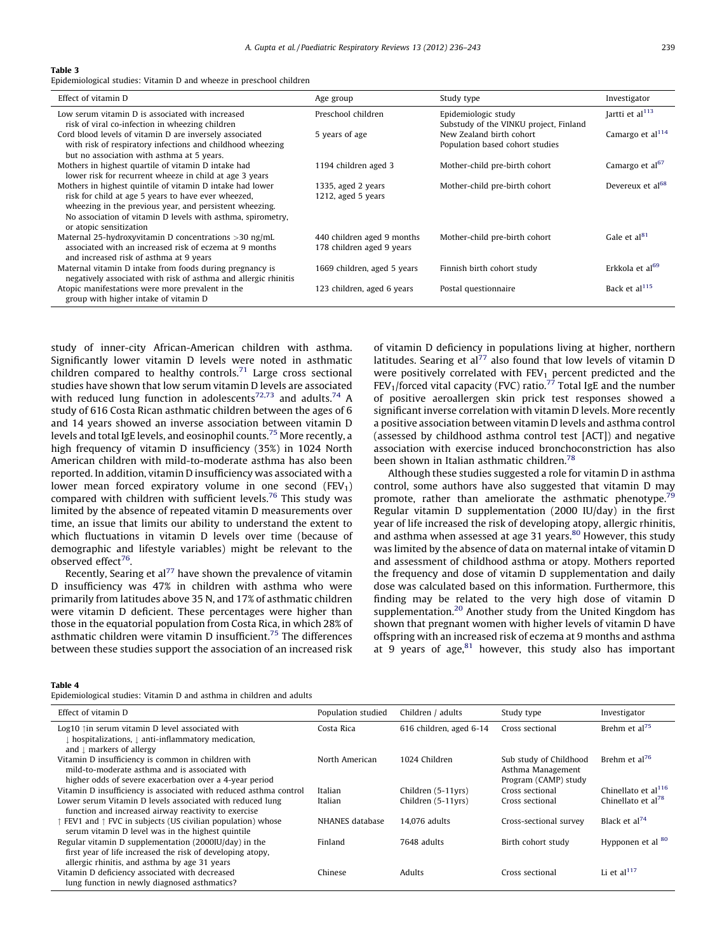#### <span id="page-3-0"></span>Table 3

Epidemiological studies: Vitamin D and wheeze in preschool children

| Effect of vitamin D                                                                                                    | Age group                   | Study type                                                         | Investigator                 |
|------------------------------------------------------------------------------------------------------------------------|-----------------------------|--------------------------------------------------------------------|------------------------------|
| Low serum vitamin D is associated with increased                                                                       | Preschool children          | Epidemiologic study                                                | Jartti et al <sup>113</sup>  |
| risk of viral co-infection in wheezing children<br>Cord blood levels of vitamin D are inversely associated             | 5 years of age              | Substudy of the VINKU project, Finland<br>New Zealand birth cohort | Camargo et al <sup>114</sup> |
| with risk of respiratory infections and childhood wheezing                                                             |                             | Population based cohort studies                                    |                              |
| but no association with asthma at 5 years.                                                                             |                             |                                                                    |                              |
| Mothers in highest quartile of vitamin D intake had<br>lower risk for recurrent wheeze in child at age 3 years         | 1194 children aged 3        | Mother-child pre-birth cohort                                      | Camargo et al <sup>67</sup>  |
| Mothers in highest quintile of vitamin D intake had lower                                                              | 1335, aged 2 years          | Mother-child pre-birth cohort                                      | Devereux et al <sup>68</sup> |
| risk for child at age 5 years to have ever wheezed,                                                                    | 1212, aged $5$ years        |                                                                    |                              |
| wheezing in the previous year, and persistent wheezing.<br>No association of vitamin D levels with asthma, spirometry, |                             |                                                                    |                              |
| or atopic sensitization                                                                                                |                             |                                                                    |                              |
| Maternal 25-hydroxyvitamin D concentrations $>$ 30 ng/mL                                                               | 440 children aged 9 months  | Mother-child pre-birth cohort                                      | Gale et al <sup>81</sup>     |
| associated with an increased risk of eczema at 9 months<br>and increased risk of asthma at 9 years                     | 178 children aged 9 years   |                                                                    |                              |
| Maternal vitamin D intake from foods during pregnancy is                                                               | 1669 children, aged 5 years | Finnish birth cohort study                                         | Erkkola et al <sup>69</sup>  |
| negatively associated with risk of asthma and allergic rhinitis                                                        |                             |                                                                    |                              |
| Atopic manifestations were more prevalent in the<br>group with higher intake of vitamin D                              | 123 children, aged 6 years  | Postal questionnaire                                               | Back et al <sup>115</sup>    |
|                                                                                                                        |                             |                                                                    |                              |

study of inner-city African-American children with asthma. Significantly lower vitamin D levels were noted in asthmatic children compared to healthy controls.<sup>71</sup> Large cross sectional studies have shown that low serum vitamin D levels are associated with reduced lung function in adolescents<sup>[72,73](#page-6-0)</sup> and adults.<sup>[74](#page-6-0)</sup> A study of 616 Costa Rican asthmatic children between the ages of 6 and 14 years showed an inverse association between vitamin D levels and total IgE levels, and eosinophil counts.[75](#page-6-0) More recently, a high frequency of vitamin D insufficiency (35%) in 1024 North American children with mild-to-moderate asthma has also been reported. In addition, vitamin D insufficiency was associated with a lower mean forced expiratory volume in one second  $(FEV_1)$ compared with children with sufficient levels.<sup>[76](#page-6-0)</sup> This study was limited by the absence of repeated vitamin D measurements over time, an issue that limits our ability to understand the extent to which fluctuations in vitamin D levels over time (because of demographic and lifestyle variables) might be relevant to the observed effect $76$ .

Recently, Searing et al<sup>77</sup> have shown the prevalence of vitamin D insufficiency was 47% in children with asthma who were primarily from latitudes above 35 N, and 17% of asthmatic children were vitamin D deficient. These percentages were higher than those in the equatorial population from Costa Rica, in which 28% of asthmatic children were vitamin D insufficient[.75](#page-6-0) The differences between these studies support the association of an increased risk of vitamin D deficiency in populations living at higher, northern latitudes. Searing et al $^{77}$  $^{77}$  $^{77}$  also found that low levels of vitamin D were positively correlated with  $FEV_1$  percent predicted and the  $FEV<sub>1</sub>/forced vital capacity (FVC) ratio.<sup>77</sup> Total IgE and the number$  $FEV<sub>1</sub>/forced vital capacity (FVC) ratio.<sup>77</sup> Total IgE and the number$  $FEV<sub>1</sub>/forced vital capacity (FVC) ratio.<sup>77</sup> Total IgE and the number$ of positive aeroallergen skin prick test responses showed a significant inverse correlation with vitamin D levels. More recently a positive association between vitamin D levels and asthma control (assessed by childhood asthma control test [ACT]) and negative association with exercise induced bronchoconstriction has also been shown in Italian asthmatic children.<sup>[78](#page-6-0)</sup>

Although these studies suggested a role for vitamin D in asthma control, some authors have also suggested that vitamin D may promote, rather than ameliorate the asthmatic phenotype.<sup>79</sup> Regular vitamin D supplementation (2000 IU/day) in the first year of life increased the risk of developing atopy, allergic rhinitis, and asthma when assessed at age 31 years. $80$  However, this study was limited by the absence of data on maternal intake of vitamin D and assessment of childhood asthma or atopy. Mothers reported the frequency and dose of vitamin D supplementation and daily dose was calculated based on this information. Furthermore, this finding may be related to the very high dose of vitamin D supplementation.<sup>[20](#page-5-0)</sup> Another study from the United Kingdom has shown that pregnant women with higher levels of vitamin D have offspring with an increased risk of eczema at 9 months and asthma at 9 years of age, $81$  however, this study also has important

#### Table 4

Epidemiological studies: Vitamin D and asthma in children and adults

| Effect of vitamin D                                                | Population studied | Children / adults       | Study type             | Investigator                    |
|--------------------------------------------------------------------|--------------------|-------------------------|------------------------|---------------------------------|
| Log10 $\uparrow$ in serum vitamin D level associated with          | Costa Rica         | 616 children, aged 6-14 | Cross sectional        | Brehm et al <sup>75</sup>       |
| hospitalizations, 1 anti-inflammatory medication,                  |                    |                         |                        |                                 |
| and $\downarrow$ markers of allergy                                |                    |                         |                        |                                 |
| Vitamin D insufficiency is common in children with                 | North American     | 1024 Children           | Sub study of Childhood | Brehm et al <sup>76</sup>       |
| mild-to-moderate asthma and is associated with                     |                    |                         | Asthma Management      |                                 |
| higher odds of severe exacerbation over a 4-year period            |                    |                         | Program (CAMP) study   |                                 |
| Vitamin D insufficiency is associated with reduced asthma control  | Italian            | Children (5-11yrs)      | Cross sectional        | Chinellato et al <sup>116</sup> |
| Lower serum Vitamin D levels associated with reduced lung          | Italian            | Children (5-11yrs)      | Cross sectional        | Chinellato et al <sup>78</sup>  |
| function and increased airway reactivity to exercise               |                    |                         |                        |                                 |
| FEV1 and $\uparrow$ FVC in subjects (US civilian population) whose | NHANES database    | 14.076 adults           | Cross-sectional survey | Black et al <sup>74</sup>       |
| serum vitamin D level was in the highest quintile                  |                    |                         |                        |                                 |
| Regular vitamin D supplementation (2000IU/day) in the              | Finland            | 7648 adults             | Birth cohort study     | Hypponen et al <sup>80</sup>    |
| first year of life increased the risk of developing atopy,         |                    |                         |                        |                                 |
| allergic rhinitis, and asthma by age 31 years                      |                    |                         |                        |                                 |
| Vitamin D deficiency associated with decreased                     | Chinese            | <b>Adults</b>           | Cross sectional        | Li et al $^{117}$               |
| lung function in newly diagnosed asthmatics?                       |                    |                         |                        |                                 |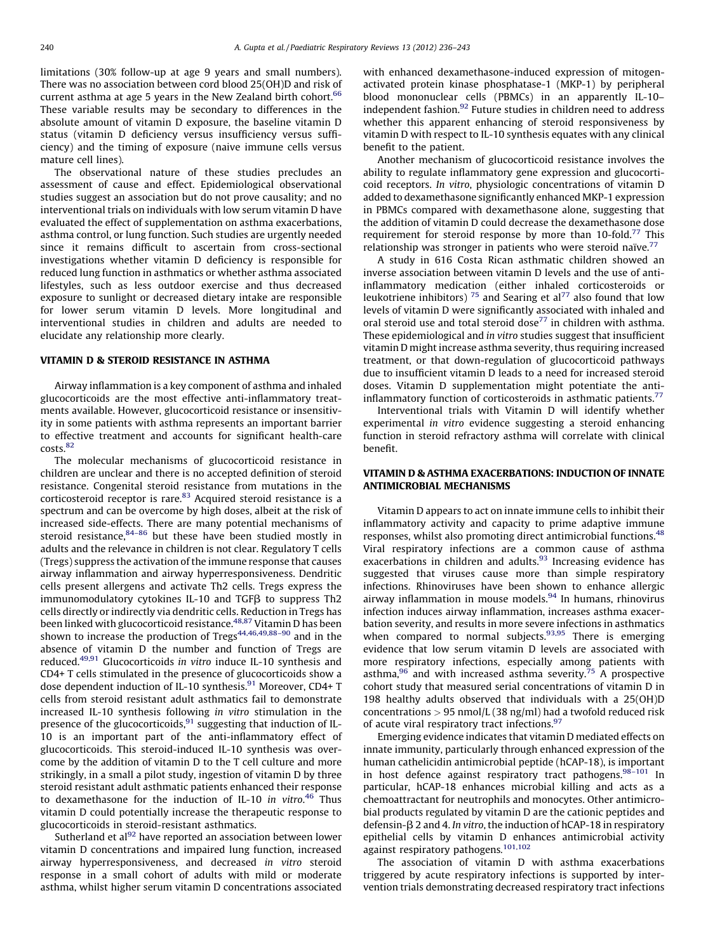limitations (30% follow-up at age 9 years and small numbers). There was no association between cord blood 25(OH)D and risk of current asthma at age 5 years in the New Zealand birth cohort.<sup>[66](#page-6-0)</sup> These variable results may be secondary to differences in the absolute amount of vitamin D exposure, the baseline vitamin D status (vitamin D deficiency versus insufficiency versus sufficiency) and the timing of exposure (naive immune cells versus mature cell lines).

The observational nature of these studies precludes an assessment of cause and effect. Epidemiological observational studies suggest an association but do not prove causality; and no interventional trials on individuals with low serum vitamin D have evaluated the effect of supplementation on asthma exacerbations, asthma control, or lung function. Such studies are urgently needed since it remains difficult to ascertain from cross-sectional investigations whether vitamin D deficiency is responsible for reduced lung function in asthmatics or whether asthma associated lifestyles, such as less outdoor exercise and thus decreased exposure to sunlight or decreased dietary intake are responsible for lower serum vitamin D levels. More longitudinal and interventional studies in children and adults are needed to elucidate any relationship more clearly.

#### VITAMIN D & STEROID RESISTANCE IN ASTHMA

Airway inflammation is a key component of asthma and inhaled glucocorticoids are the most effective anti-inflammatory treatments available. However, glucocorticoid resistance or insensitivity in some patients with asthma represents an important barrier to effective treatment and accounts for significant health-care costs.[82](#page-6-0)

The molecular mechanisms of glucocorticoid resistance in children are unclear and there is no accepted definition of steroid resistance. Congenital steroid resistance from mutations in the corticosteroid receptor is rare.<sup>[83](#page-6-0)</sup> Acquired steroid resistance is a spectrum and can be overcome by high doses, albeit at the risk of increased side-effects. There are many potential mechanisms of steroid resistance, 84-86 but these have been studied mostly in adults and the relevance in children is not clear. Regulatory T cells (Tregs) suppress the activation of the immune response that causes airway inflammation and airway hyperresponsiveness. Dendritic cells present allergens and activate Th2 cells. Tregs express the immunomodulatory cytokines IL-10 and TGFB to suppress Th2 cells directly or indirectly via dendritic cells. Reduction in Tregs has been linked with glucocorticoid resistance[.48,87](#page-6-0) Vitamin D has been shown to increase the production of  $Tregs^{44,46,49,88-90}$  and in the absence of vitamin D the number and function of Tregs are reduced.<sup>49,91</sup> Glucocorticoids in vitro induce IL-10 synthesis and CD4+ T cells stimulated in the presence of glucocorticoids show a dose dependent induction of IL-10 synthesis.<sup>91</sup> Moreover, CD4+ T cells from steroid resistant adult asthmatics fail to demonstrate increased IL-10 synthesis following in vitro stimulation in the presence of the glucocorticoids, $91$  suggesting that induction of IL-10 is an important part of the anti-inflammatory effect of glucocorticoids. This steroid-induced IL-10 synthesis was overcome by the addition of vitamin D to the T cell culture and more strikingly, in a small a pilot study, ingestion of vitamin D by three steroid resistant adult asthmatic patients enhanced their response to dexamethasone for the induction of IL-10 in vitro.<sup>[46](#page-6-0)</sup> Thus vitamin D could potentially increase the therapeutic response to glucocorticoids in steroid-resistant asthmatics.

Sutherland et al $^{92}$  have reported an association between lower vitamin D concentrations and impaired lung function, increased airway hyperresponsiveness, and decreased in vitro steroid response in a small cohort of adults with mild or moderate asthma, whilst higher serum vitamin D concentrations associated with enhanced dexamethasone-induced expression of mitogenactivated protein kinase phosphatase-1 (MKP-1) by peripheral blood mononuclear cells (PBMCs) in an apparently IL-10– independent fashion.<sup>[92](#page-6-0)</sup> Future studies in children need to address whether this apparent enhancing of steroid responsiveness by vitamin D with respect to IL-10 synthesis equates with any clinical benefit to the patient.

Another mechanism of glucocorticoid resistance involves the ability to regulate inflammatory gene expression and glucocorticoid receptors. In vitro, physiologic concentrations of vitamin D added to dexamethasone significantly enhanced MKP-1 expression in PBMCs compared with dexamethasone alone, suggesting that the addition of vitamin D could decrease the dexamethasone dose requirement for steroid response by more than  $10$ -fold.<sup>[77](#page-6-0)</sup> This relationship was stronger in patients who were steroid naïve.<sup>77</sup>

A study in 616 Costa Rican asthmatic children showed an inverse association between vitamin D levels and the use of antiinflammatory medication (either inhaled corticosteroids or leukotriene inhibitors)  $^{75}$  $^{75}$  $^{75}$  and Searing et al<sup>[77](#page-6-0)</sup> also found that low levels of vitamin D were significantly associated with inhaled and oral steroid use and total steroid dose<sup>77</sup> in children with asthma. These epidemiological and in vitro studies suggest that insufficient vitamin D might increase asthma severity, thus requiring increased treatment, or that down-regulation of glucocorticoid pathways due to insufficient vitamin D leads to a need for increased steroid doses. Vitamin D supplementation might potentiate the antiinflammatory function of corticosteroids in asthmatic patients.<sup>77</sup>

Interventional trials with Vitamin D will identify whether experimental in vitro evidence suggesting a steroid enhancing function in steroid refractory asthma will correlate with clinical benefit.

## VITAMIN D & ASTHMA EXACERBATIONS: INDUCTION OF INNATE ANTIMICROBIAL MECHANISMS

Vitamin D appears to act on innate immune cells to inhibit their inflammatory activity and capacity to prime adaptive immune responses, whilst also promoting direct antimicrobial functions.<sup>[48](#page-6-0)</sup> Viral respiratory infections are a common cause of asthma exacerbations in children and adults.<sup>93</sup> Increasing evidence has suggested that viruses cause more than simple respiratory infections. Rhinoviruses have been shown to enhance allergic airway inflammation in mouse models. $94$  In humans, rhinovirus infection induces airway inflammation, increases asthma exacerbation severity, and results in more severe infections in asthmatics when compared to normal subjects. $93,95$  There is emerging evidence that low serum vitamin D levels are associated with more respiratory infections, especially among patients with asthma, $96$  and with increased asthma severity.<sup>[75](#page-6-0)</sup> A prospective cohort study that measured serial concentrations of vitamin D in 198 healthy adults observed that individuals with a 25(OH)D concentrations  $> 95$  nmol/L (38 ng/ml) had a twofold reduced risk of acute viral respiratory tract infections.<sup>97</sup>

Emerging evidence indicates that vitamin D mediated effects on innate immunity, particularly through enhanced expression of the human cathelicidin antimicrobial peptide (hCAP-18), is important in host defence against respiratory tract pathogens.<sup>98-101</sup> In particular, hCAP-18 enhances microbial killing and acts as a chemoattractant for neutrophils and monocytes. Other antimicrobial products regulated by vitamin D are the cationic peptides and defensin- $\beta$  2 and 4. In vitro, the induction of hCAP-18 in respiratory epithelial cells by vitamin D enhances antimicrobial activity against respiratory pathogens. [101,102](#page-7-0)

The association of vitamin D with asthma exacerbations triggered by acute respiratory infections is supported by intervention trials demonstrating decreased respiratory tract infections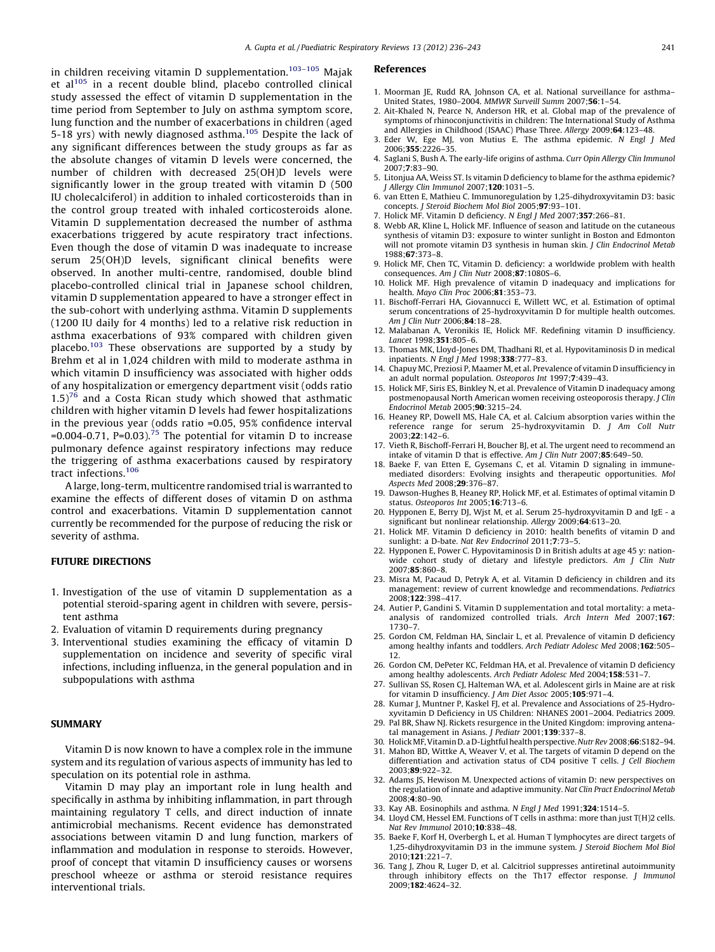<span id="page-5-0"></span>in children receiving vitamin D supplementation.<sup>103-105</sup> Maiak et al $105$  in a recent double blind, placebo controlled clinical study assessed the effect of vitamin D supplementation in the time period from September to July on asthma symptom score, lung function and the number of exacerbations in children (aged 5-18 yrs) with newly diagnosed asthma.[105](#page-7-0) Despite the lack of any significant differences between the study groups as far as the absolute changes of vitamin D levels were concerned, the number of children with decreased 25(OH)D levels were significantly lower in the group treated with vitamin D (500 IU cholecalciferol) in addition to inhaled corticosteroids than in the control group treated with inhaled corticosteroids alone. Vitamin D supplementation decreased the number of asthma exacerbations triggered by acute respiratory tract infections. Even though the dose of vitamin D was inadequate to increase serum 25(OH)D levels, significant clinical benefits were observed. In another multi-centre, randomised, double blind placebo-controlled clinical trial in Japanese school children, vitamin D supplementation appeared to have a stronger effect in the sub-cohort with underlying asthma. Vitamin D supplements (1200 IU daily for 4 months) led to a relative risk reduction in asthma exacerbations of 93% compared with children given placebo.<sup>[103](#page-7-0)</sup> These observations are supported by a study by Brehm et al in 1,024 children with mild to moderate asthma in which vitamin D insufficiency was associated with higher odds of any hospitalization or emergency department visit (odds ratio  $1.5$ <sup>[76](#page-6-0)</sup> and a Costa Rican study which showed that asthmatic children with higher vitamin D levels had fewer hospitalizations in the previous year (odds ratio =0.05, 95% confidence interval =0.004-0.71, P=0.03).<sup>[75](#page-6-0)</sup> The potential for vitamin D to increase pulmonary defence against respiratory infections may reduce the triggering of asthma exacerbations caused by respiratory tract infections.[106](#page-7-0)

A large, long-term, multicentre randomised trial is warranted to examine the effects of different doses of vitamin D on asthma control and exacerbations. Vitamin D supplementation cannot currently be recommended for the purpose of reducing the risk or severity of asthma.

### FUTURE DIRECTIONS

- 1. Investigation of the use of vitamin D supplementation as a potential steroid-sparing agent in children with severe, persistent asthma
- 2. Evaluation of vitamin D requirements during pregnancy
- 3. Interventional studies examining the efficacy of vitamin D supplementation on incidence and severity of specific viral infections, including influenza, in the general population and in subpopulations with asthma

#### **SUMMARY**

Vitamin D is now known to have a complex role in the immune system and its regulation of various aspects of immunity has led to speculation on its potential role in asthma.

Vitamin D may play an important role in lung health and specifically in asthma by inhibiting inflammation, in part through maintaining regulatory T cells, and direct induction of innate antimicrobial mechanisms. Recent evidence has demonstrated associations between vitamin D and lung function, markers of inflammation and modulation in response to steroids. However, proof of concept that vitamin D insufficiency causes or worsens preschool wheeze or asthma or steroid resistance requires interventional trials.

#### References

- 1. Moorman JE, Rudd RA, Johnson CA, et al. National surveillance for asthma– United States, 1980–2004. MMWR Surveill Summ 2007;56:1–54.
- 2. Ait-Khaled N, Pearce N, Anderson HR, et al. Global map of the prevalence of symptoms of rhinoconjunctivitis in children: The International Study of Asthma and Allergies in Childhood (ISAAC) Phase Three. Allergy 2009;64:123–48.
- 3. Eder W, Ege MJ, von Mutius E. The asthma epidemic. N Engl J Med 2006;355:2226–35.
- 4. Saglani S, Bush A. The early-life origins of asthma. Curr Opin Allergy Clin Immunol 2007;7:83–90.
- 5. Litonjua AA, Weiss ST. Is vitamin D deficiency to blame for the asthma epidemic? J Allergy Clin Immunol 2007;120:1031–5.
- 6. van Etten E, Mathieu C. Immunoregulation by 1,25-dihydroxyvitamin D3: basic concepts. J Steroid Biochem Mol Biol 2005;97:93–101.
- 7. Holick MF. Vitamin D deficiency. N Engl J Med 2007;357:266–81.
- 8. Webb AR, Kline L, Holick MF. Influence of season and latitude on the cutaneous synthesis of vitamin D3: exposure to winter sunlight in Boston and Edmonton will not promote vitamin D3 synthesis in human skin. J Clin Endocrinol Metab 1988;67:373–8.
- 9. Holick MF, Chen TC, Vitamin D. deficiency: a worldwide problem with health consequences. Am J Clin Nutr 2008;87:1080S–6.
- 10. Holick MF. High prevalence of vitamin D inadequacy and implications for health. Mayo Clin Proc 2006;81:353–73.
- 11. Bischoff-Ferrari HA, Giovannucci E, Willett WC, et al. Estimation of optimal serum concentrations of 25-hydroxyvitamin D for multiple health outcomes. Am J Clin Nutr 2006;84:18–28.
- 12. Malabanan A, Veronikis IE, Holick MF. Redefining vitamin D insufficiency. Lancet 1998;351:805–6.
- 13. Thomas MK, Lloyd-Jones DM, Thadhani RI, et al. Hypovitaminosis D in medical inpatients. N Engl J Med 1998;338:777–83.
- 14. Chapuy MC, Preziosi P, Maamer M, et al. Prevalence of vitamin D insufficiency in an adult normal population. Osteoporos Int 1997;7:439–43.
- 15. Holick MF, Siris ES, Binkley N, et al. Prevalence of Vitamin D inadequacy among postmenopausal North American women receiving osteoporosis therapy. J Clin Endocrinol Metab 2005;90:3215–24.
- 16. Heaney RP, Dowell MS, Hale CA, et al. Calcium absorption varies within the reference range for serum 25-hydroxyvitamin D. J Am Coll Nutr 2003;22:142–6.
- 17. Vieth R, Bischoff-Ferrari H, Boucher BJ, et al. The urgent need to recommend an intake of vitamin D that is effective. Am J Clin Nutr 2007;85:649–50.
- 18. Baeke F, van Etten E, Gysemans C, et al. Vitamin D signaling in immunemediated disorders: Evolving insights and therapeutic opportunities. Mol Aspects Med 2008;29:376–87.
- 19. Dawson-Hughes B, Heaney RP, Holick MF, et al. Estimates of optimal vitamin D status. Osteoporos Int 2005;16:713-6.
- 20. Hypponen E, Berry DJ, Wjst M, et al. Serum 25-hydroxyvitamin D and IgE a significant but nonlinear relationship. Allergy 2009;64:613–20.
- 21. Holick MF. Vitamin D deficiency in 2010: health benefits of vitamin D and sunlight: a D-bate. Nat Rev Endocrinol 2011;7:73-5.
- 22. Hypponen E, Power C. Hypovitaminosis D in British adults at age 45 y: nationwide cohort study of dietary and lifestyle predictors. Am J Clin Nutr 2007;85:860–8.
- 23. Misra M, Pacaud D, Petryk A, et al. Vitamin D deficiency in children and its management: review of current knowledge and recommendations. Pediatrics 2008;122:398–417.
- 24. Autier P, Gandini S. Vitamin D supplementation and total mortality: a metaanalysis of randomized controlled trials. Arch Intern Med 2007;167: 1730–7.
- 25. Gordon CM, Feldman HA, Sinclair L, et al. Prevalence of vitamin D deficiency among healthy infants and toddlers. Arch Pediatr Adolesc Med 2008;162:505– 12.
- 26. Gordon CM, DePeter KC, Feldman HA, et al. Prevalence of vitamin D deficiency among healthy adolescents. Arch Pediatr Adolesc Med 2004;158:531–7.
- 27. Sullivan SS, Rosen CJ, Halteman WA, et al. Adolescent girls in Maine are at risk for vitamin D insufficiency. J Am Diet Assoc 2005;105:971–4.
- 28. Kumar J, Muntner P, Kaskel FJ, et al. Prevalence and Associations of 25-Hydroxyvitamin D Deficiency in US Children: NHANES 2001–2004. Pediatrics 2009.
- 29. Pal BR, Shaw NJ. Rickets resurgence in the United Kingdom: improving antenatal management in Asians. J Pediatr 2001;139:337-8.
- 30. Holick MF, Vitamin D. a D-Lightful health perspective. Nutr Rev 2008;66:S182-94.
- 31. Mahon BD, Wittke A, Weaver V, et al. The targets of vitamin D depend on the differentiation and activation status of CD4 positive T cells. J Cell Biochem 2003;89:922–32.
- 32. Adams JS, Hewison M. Unexpected actions of vitamin D: new perspectives on the regulation of innate and adaptive immunity. Nat Clin Pract Endocrinol Metab 2008;4:80–90.
- 33. Kay AB. Eosinophils and asthma. N Engl J Med 1991;324:1514-5.
- 34. Lloyd CM, Hessel EM. Functions of T cells in asthma: more than just T(H)2 cells. Nat Rev Immunol 2010;10:838–48.
- Baeke F, Korf H, Overbergh L, et al. Human T lymphocytes are direct targets of 1,25-dihydroxyvitamin D3 in the immune system. J Steroid Biochem Mol Biol 2010;121:221–7.
- 36. Tang J, Zhou R, Luger D, et al. Calcitriol suppresses antiretinal autoimmunity through inhibitory effects on the Th17 effector response. J Immunol 2009;182:4624–32.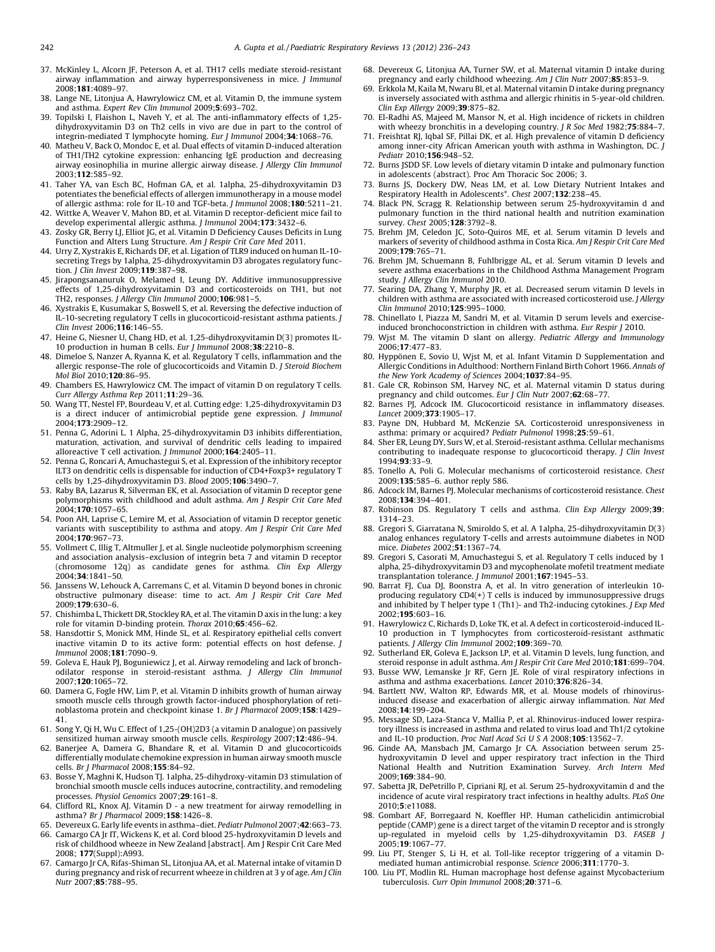- <span id="page-6-0"></span>37. McKinley L, Alcorn JF, Peterson A, et al. TH17 cells mediate steroid-resistant airway inflammation and airway hyperresponsiveness in mice. J Immunol 2008;181:4089–97.
- 38. Lange NE, Litonjua A, Hawrylowicz CM, et al. Vitamin D, the immune system and asthma. Expert Rev Clin Immunol 2009;5:693–702.
- 39. Topilski I, Flaishon L, Naveh Y, et al. The anti-inflammatory effects of 1,25 dihydroxyvitamin D3 on Th2 cells in vivo are due in part to the control of integrin-mediated T lymphocyte homing. Eur J Immunol 2004;34:1068–76.
- 40. Matheu V, Back O, Mondoc E, et al. Dual effects of vitamin D-induced alteration of TH1/TH2 cytokine expression: enhancing IgE production and decreasing airway eosinophilia in murine allergic airway disease. J Allergy Clin Immunol 2003;112:585–92.
- 41. Taher YA, van Esch BC, Hofman GA, et al. 1alpha, 25-dihydroxyvitamin D3 potentiates the beneficial effects of allergen immunotherapy in a mouse model of allergic asthma: role for IL-10 and TGF-beta. J Immunol 2008;180:5211–21.
- 42. Wittke A, Weaver V, Mahon BD, et al. Vitamin D receptor-deficient mice fail to develop experimental allergic asthma. J Immunol 2004;173:3432–6.
- 43. Zosky GR, Berry LJ, Elliot JG, et al. Vitamin D Deficiency Causes Deficits in Lung Function and Alters Lung Structure. Am J Respir Crit Care Med 2011.
- 44. Urry Z, Xystrakis E, Richards DF, et al. Ligation of TLR9 induced on human IL-10 secreting Tregs by 1alpha, 25-dihydroxyvitamin D3 abrogates regulatory function. J Clin Invest 2009;119:387–98.
- 45. Jirapongsananuruk O, Melamed I, Leung DY. Additive immunosuppressive effects of 1,25-dihydroxyvitamin D3 and corticosteroids on TH1, but not TH2, responses. J Allergy Clin Immunol 2000;106:981–5.
- 46. Xystrakis E, Kusumakar S, Boswell S, et al. Reversing the defective induction of IL-10-secreting regulatory T cells in glucocorticoid-resistant asthma patients. J Clin Invest 2006;116:146–55.
- 47. Heine G, Niesner U, Chang HD, et al. 1,25-dihydroxyvitamin D(3) promotes IL-10 production in human B cells. Eur J Immunol 2008;38:2210–8.
- 48. Dimeloe S, Nanzer A, Ryanna K, et al. Regulatory T cells, inflammation and the allergic response-The role of glucocorticoids and Vitamin D. J Steroid Biochem Mol Biol 2010;120:86–95.
- 49. Chambers ES, Hawrylowicz CM. The impact of vitamin D on regulatory T cells. Curr Allergy Asthma Rep 2011;11:29–36.
- 50. Wang TT, Nestel FP, Bourdeau V, et al. Cutting edge: 1,25-dihydroxyvitamin D3 is a direct inducer of antimicrobial peptide gene expression. J Immunol 2004;173:2909–12.
- 51. Penna G, Adorini L. 1 Alpha, 25-dihydroxyvitamin D3 inhibits differentiation, maturation, activation, and survival of dendritic cells leading to impaired alloreactive T cell activation. J Immunol 2000;164:2405–11.
- 52. Penna G, Roncari A, Amuchastegui S, et al. Expression of the inhibitory receptor ILT3 on dendritic cells is dispensable for induction of CD4+Foxp3+ regulatory T cells by 1,25-dihydroxyvitamin D3. Blood 2005;106:3490–7.
- 53. Raby BA, Lazarus R, Silverman EK, et al. Association of vitamin D receptor gene polymorphisms with childhood and adult asthma. Am J Respir Crit Care Med 2004;170:1057–65.
- 54. Poon AH, Laprise C, Lemire M, et al. Association of vitamin D receptor genetic variants with susceptibility to asthma and atopy. Am J Respir Crit Care Med 2004;170:967–73.
- 55. Vollmert C, Illig T, Altmuller J, et al. Single nucleotide polymorphism screening and association analysis–exclusion of integrin beta 7 and vitamin D receptor (chromosome 12q) as candidate genes for asthma. Clin Exp Allergy 2004;34:1841–50.
- 56. Janssens W, Lehouck A, Carremans C, et al. Vitamin D beyond bones in chronic obstructive pulmonary disease: time to act. Am J Respir Crit Care Med 2009;179:630–6.
- 57. Chishimba L, Thickett DR, Stockley RA, et al. The vitamin D axis in the lung: a key role for vitamin D-binding protein. Thorax 2010;65:456–62.
- 58. Hansdottir S, Monick MM, Hinde SL, et al. Respiratory epithelial cells convert inactive vitamin D to its active form: potential effects on host defense. J Immunol 2008;181:7090–9.
- 59. Goleva E, Hauk PJ, Boguniewicz J, et al. Airway remodeling and lack of bronchodilator response in steroid-resistant asthma. J Allergy Clin Immunol 2007;120:1065–72.
- 60. Damera G, Fogle HW, Lim P, et al. Vitamin D inhibits growth of human airway smooth muscle cells through growth factor-induced phosphorylation of retinoblastoma protein and checkpoint kinase 1. Br J Pharmacol 2009;158:1429– 41.
- 61. Song Y, Qi H, Wu C. Effect of 1,25-(OH)2D3 (a vitamin D analogue) on passively sensitized human airway smooth muscle cells. Respirology 2007;12:486–94.
- 62. Banerjee A, Damera G, Bhandare R, et al. Vitamin D and glucocorticoids differentially modulate chemokine expression in human airway smooth muscle cells. Br J Pharmacol 2008;155:84–92.
- 63. Bosse Y, Maghni K, Hudson TJ. 1alpha, 25-dihydroxy-vitamin D3 stimulation of bronchial smooth muscle cells induces autocrine, contractility, and remodeling processes. Physiol Genomics 2007;29:161–8.
- 64. Clifford RL, Knox AJ. Vitamin D a new treatment for airway remodelling in asthma? Br J Pharmacol 2009;158:1426–8.
- 65. Devereux G. Early life events in asthma–diet. Pediatr Pulmonol 2007;42:663–73.
- 66. Camargo CA Jr IT, Wickens K, et al. Cord blood 25-hydroxyvitamin D levels and risk of childhood wheeze in New Zealand [abstract]. Am J Respir Crit Care Med 2008; 177(Suppl):A993.
- 67. Camargo Jr CA, Rifas-Shiman SL, Litonjua AA, et al. Maternal intake of vitamin D during pregnancy and risk of recurrent wheeze in children at 3 y of age. Am J Clin Nutr 2007;85:788–95.
- 68. Devereux G, Litonjua AA, Turner SW, et al. Maternal vitamin D intake during pregnancy and early childhood wheezing. Am J Clin Nutr 2007;85:853–9.
- 69. Erkkola M, Kaila M, Nwaru BI, et al. Maternal vitamin D intake during pregnancy is inversely associated with asthma and allergic rhinitis in 5-year-old children. Clin Exp Allergy 2009;39:875–82.
- 70. El-Radhi AS, Majeed M, Mansor N, et al. High incidence of rickets in children with wheezy bronchitis in a developing country. J R Soc Med 1982;75:884-7.
- 71. Freishtat RJ, Iqbal SF, Pillai DK, et al. High prevalence of vitamin D deficiency among inner-city African American youth with asthma in Washington, DC. J Pediatr 2010;**156**:948-52.
- 72. Burns JSDD SF. Low levels of dietary vitamin D intake and pulmonary function in adolescents (abstract). Proc Am Thoracic Soc 2006; 3.
- 73. Burns JS, Dockery DW, Neas LM, et al. Low Dietary Nutrient Intakes and Respiratory Health in Adolescents\*. Chest 2007;132:238–45.
- 74. Black PN, Scragg R. Relationship between serum 25-hydroxyvitamin d and pulmonary function in the third national health and nutrition examination survey. Chest 2005;128:3792–8.
- 75. Brehm JM, Celedon JC, Soto-Quiros ME, et al. Serum vitamin D levels and markers of severity of childhood asthma in Costa Rica. Am J Respir Crit Care Med 2009;179:765–71.
- 76. Brehm JM, Schuemann B, Fuhlbrigge AL, et al. Serum vitamin D levels and severe asthma exacerbations in the Childhood Asthma Management Program study. J Allergy Clin Immunol 2010.
- 77. Searing DA, Zhang Y, Murphy JR, et al. Decreased serum vitamin D levels in children with asthma are associated with increased corticosteroid use. J Allergy Clin Immunol 2010;125:995–1000.
- 78. Chinellato I, Piazza M, Sandri M, et al. Vitamin D serum levels and exerciseinduced bronchoconstriction in children with asthma. Eur Respir J 2010.
- 79. Wjst M. The vitamin D slant on allergy. Pediatric Allergy and Immunology 2006;17:477–83.
- 80. Hyppönen E, Sovio U, Wjst M, et al. Infant Vitamin D Supplementation and<br>Allergic Conditions in Adulthood: Northern Finland Birth Cohort 1966. Annals of the New York Academy of Sciences 2004:1037:84-95.
- 81. Gale CR, Robinson SM, Harvey NC, et al. Maternal vitamin D status during pregnancy and child outcomes. Eur J Clin Nutr 2007;62:68–77.
- 82. Barnes PJ, Adcock IM. Glucocorticoid resistance in inflammatory diseases. Lancet 2009;373:1905–17.
- 83. Payne DN, Hubbard M, McKenzie SA. Corticosteroid unresponsiveness in asthma: primary or acquired? Pediatr Pulmonol 1998;25:59–61.
- 84. Sher ER, Leung DY, Surs W, et al. Steroid-resistant asthma. Cellular mechanisms contributing to inadequate response to glucocorticoid therapy. J Clin Invest 1994;93:33–9.
- 85. Tonello A, Poli G. Molecular mechanisms of corticosteroid resistance. Chest 2009;135:585–6. author reply 586.
- 86. Adcock IM, Barnes PJ. Molecular mechanisms of corticosteroid resistance. Chest 2008;134:394–401.
- 87. Robinson DS. Regulatory T cells and asthma. Clin Exp Allergy 2009;39: 1314–23.
- 88. Gregori S, Giarratana N, Smiroldo S, et al. A 1alpha, 25-dihydroxyvitamin D(3) analog enhances regulatory T-cells and arrests autoimmune diabetes in NOD mice. Diabetes 2002;51:1367–74.
- 89. Gregori S, Casorati M, Amuchastegui S, et al. Regulatory T cells induced by 1 alpha, 25-dihydroxyvitamin D3 and mycophenolate mofetil treatment mediate transplantation tolerance. J Immunol 2001;167:1945–53.
- 90. Barrat FJ, Cua DJ, Boonstra A, et al. In vitro generation of interleukin 10 producing regulatory CD4(+) T cells is induced by immunosuppressive drugs and inhibited by T helper type 1 (Th1)- and Th2-inducing cytokines. J Exp Med 2002;195:603–16.
- 91. Hawrylowicz C, Richards D, Loke TK, et al. A defect in corticosteroid-induced IL-10 production in T lymphocytes from corticosteroid-resistant asthmatic patients. J Allergy Clin Immunol 2002;109:369–70.
- 92. Sutherland ER, Goleva E, Jackson LP, et al. Vitamin D levels, lung function, and steroid response in adult asthma. Am J Respir Crit Care Med 2010;181:699–704.
- 93. Busse WW, Lemanske Jr RF, Gern JE. Role of viral respiratory infections in asthma and asthma exacerbations. Lancet 2010;376:826–34.
- 94. Bartlett NW, Walton RP, Edwards MR, et al. Mouse models of rhinovirusinduced disease and exacerbation of allergic airway inflammation. Nat Med 2008;14:199–204.
- 95. Message SD, Laza-Stanca V, Mallia P, et al. Rhinovirus-induced lower respiratory illness is increased in asthma and related to virus load and Th1/2 cytokine and IL-10 production. Proc Natl Acad Sci U S A 2008;105:13562–7.
- 96. Ginde AA, Mansbach JM, Camargo Jr CA. Association between serum 25 hydroxyvitamin D level and upper respiratory tract infection in the Third National Health and Nutrition Examination Survey. Arch Intern Med 2009;169:384–90.
- 97. Sabetta JR, DePetrillo P, Cipriani RJ, et al. Serum 25-hydroxyvitamin d and the incidence of acute viral respiratory tract infections in healthy adults. PLoS One 2010;5:e11088.
- 98. Gombart AF, Borregaard N, Koeffler HP. Human cathelicidin antimicrobial peptide (CAMP) gene is a direct target of the vitamin D receptor and is strongly up-regulated in myeloid cells by 1,25-dihydroxyvitamin D3. FASEB 2005;19:1067–77.
- 99. Liu PT, Stenger S, Li H, et al. Toll-like receptor triggering of a vitamin Dmediated human antimicrobial response. Science 2006;311:1770–3.
- 100. Liu PT, Modlin RL. Human macrophage host defense against Mycobacterium tuberculosis. Curr Opin Immunol 2008;20:371-6.